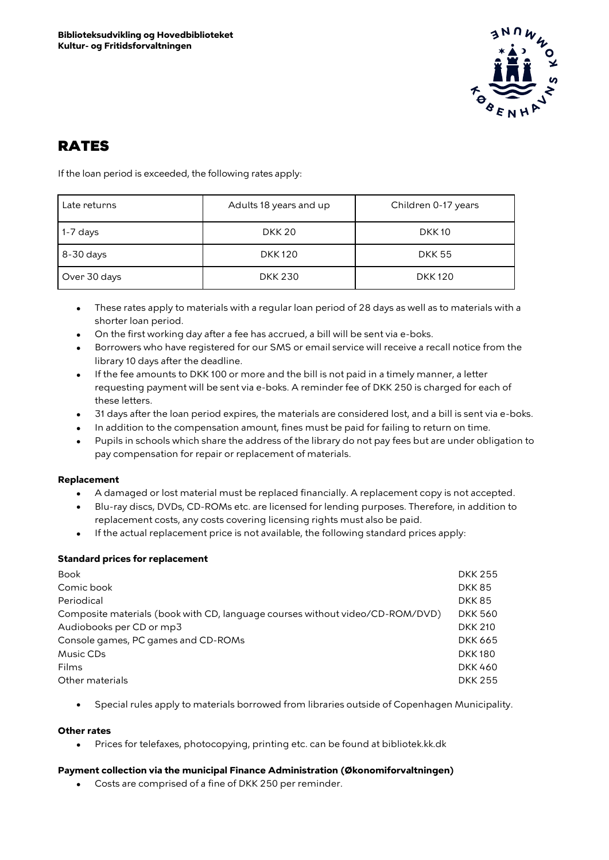

# RATES

If the loan period is exceeded, the following rates apply:

| Late returns | Adults 18 years and up | Children 0-17 years |
|--------------|------------------------|---------------------|
| $1-7$ days   | <b>DKK 20</b>          | <b>DKK10</b>        |
| 8-30 days    | <b>DKK120</b>          | <b>DKK 55</b>       |
| Over 30 days | <b>DKK 230</b>         | <b>DKK120</b>       |

- These rates apply to materials with a regular loan period of 28 days as well as to materials with a shorter loan period.
- On the first working day after a fee has accrued, a bill will be sent via e-boks.
- Borrowers who have registered for our SMS or email service will receive a recall notice from the library 10 days after the deadline.
- If the fee amounts to DKK 100 or more and the bill is not paid in a timely manner, a letter requesting payment will be sent via e-boks. A reminder fee of DKK 250 is charged for each of these letters.
- 31 days after the loan period expires, the materials are considered lost, and a bill is sent via e-boks.
- In addition to the compensation amount, fines must be paid for failing to return on time.
- Pupils in schools which share the address of the library do not pay fees but are under obligation to pay compensation for repair or replacement of materials.

# **Replacement**

- A damaged or lost material must be replaced financially. A replacement copy is not accepted.
- Blu-ray discs, DVDs, CD-ROMs etc. are licensed for lending purposes. Therefore, in addition to replacement costs, any costs covering licensing rights must also be paid.
- If the actual replacement price is not available, the following standard prices apply:

# **Standard prices for replacement**

| <b>Book</b>                                                                   | <b>DKK 255</b> |
|-------------------------------------------------------------------------------|----------------|
| Comic book                                                                    | <b>DKK85</b>   |
| Periodical                                                                    | <b>DKK85</b>   |
| Composite materials (book with CD, language courses without video/CD-ROM/DVD) | <b>DKK 560</b> |
| Audiobooks per CD or mp3                                                      | <b>DKK 210</b> |
| Console games, PC games and CD-ROMs                                           | <b>DKK 665</b> |
| Music CDs                                                                     | <b>DKK180</b>  |
| Films                                                                         | <b>DKK460</b>  |
| Other materials                                                               | <b>DKK 255</b> |
|                                                                               |                |

• Special rules apply to materials borrowed from libraries outside of Copenhagen Municipality.

### **Other rates**

• Prices for telefaxes, photocopying, printing etc. can be found at bibliotek.kk.dk

# **Payment collection via the municipal Finance Administration (Økonomiforvaltningen)**

• Costs are comprised of a fine of DKK 250 per reminder.